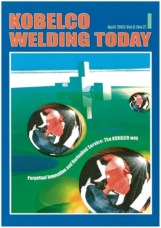# $(1)$  3 5 1  $(B(1)$ **April 2005 Vol.8 (No.2)** WELDING TODA

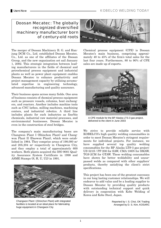Doosan Mecatec: The globally recognized diversified machinery manufacturer born of century-old roots

The merger of Doosan Machinery B. G. and Hanjung DCM Co., Ltd. established Doosan Mecatec, Co., Ltd. as one of the affiliates of the Doosan Group, and the new organization set sail January 1, 2002. This strategic integration between leading manufacturers in the fields of chemical and petrochemical process equipment and industrial plants as well as power plant equipment enables Doosan Mecatec to enhance productivity and project management capacity by utilizing accumulated expertise in engineering technology, advanced manufacturing and quality assurance.

Their business spans across many fields. One area of business consists of chemical process equipment such as pressure vessels, columns, heat exchangers, and reactors. Another includes machine tools such as CNC lathes, milling machines, machining centers, and industrial robotics. A third line includes plants for such industries as fine/bio chemicals, industrial raw material processes, and environmental businesses. Doosan Mecatec is even in the construction of steel bridges.

The company's main manufacturing bases are Changwon Plant I (Shinchon Plant) and Changwon Plant II (Daewon Plant), which were established in 1964. They comprise areas of 198,000 m2 and 205,204 m2 respectively in Changwon City, and they employ a total of approximately 600 workers. Both plants acquired the ISO 9001 Quality Assurance System Certificate in 1998 and ASME Stamps (S, H, U, U2) in 1991.



Changwon Plant I (Shinchon Plant) with integrated facilities is located at an ideal place for fabricating huge equipment in Changwon City



Chemical process equipment (CPE) is Doosan Mecatec's main business, comprising approximately 40 to 45% of the firm's total sales for the last four years. Furthermore, 80 to 90% of CPE sales are made up of exports.



A CPE module for the BP Alaska LTS-3 gas project, delivered to the client in June 2003

We strive to provide reliable service with KOBELCO's high quality welding consumables in order to meet Doosan Mecatec's stringent requirements for individual projects. For instance, we have supplied several top quality welding consumables for the BP Alaska LTS-3 gas project: US-521S / PF-200 for SAW, CMA-106N for SMAW, TGS-2CM for GTAW. These welding consumables have shown far better weldability and unsurpassed welds as compared with other suppliers' products, thereby satisfying the client's strict specifications.

This project has been one of the greatest successes in our long lasting customer relationships. We will endeavor to add value and be a leading supplier to Doosan Mecatec by providing quality products with outstanding technical support and quick delivery in cooperation with Kobe Welding of Korea and Kobe Steel, Japan.

> Reported by I. S. Choi, OK Trading Arranged by D. S. Kim, KOSARC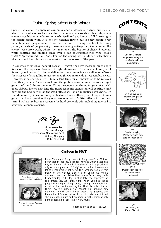# Fruitful Spring after Harsh Winter

Spring has come. In Japan we can enjoy cherry blossoms in April but just for about two weeks or so because cherry blossoms are so short-lived. Japanese cherry trees bloom quickly around early April and are likely to fall fluttering in the strong spring wind. It is not the national flower, but in early spring, ordinary Japanese people seem to act as if it were. During the brief flowering period, crowds of people enjoy blossom viewing outings or picnics under the cherry trees after work, where they may enjoy the beauty of cherry blossoms, while chatting and singing songs over a cup of Japanese rice wine, called "SAKE" (pronounced: Sah-Kae). For me the spring here in Japan with cherry blossoms and fresh leaves is the most attractive season of the year.

In contrast to nature's hopeful season, I regret that my message must again focus on the hopeless forecast of tight deliveries of materials. Like you, I fervently look forward to better deliveries of raw materials as well as relief from the stresses of struggling to assure enough raw materials at reasonable prices. However, it seems that it will take a long time for all industries to be relieved from this problem. As you may know, the problems are mainly due to the rapid growth of the Chinese economy. China's economy continues to grow at a brisk pace. Nobody knows how long the rapid economic expansion will continue, and how big the bad as well as the good effects will be on industries worldwide. In the short-term, it seems many industries have suffered, but I hope China's growth will also provide the global economy with fruitful effects in the longterm. I will do my best to overcome the hard economic winter, looking forward to beneficial economic spring.

Masakazu Tojo General Manager International Operations Dept. Welding Company Kobe Steel, Ltd.





An extensive menu: Everything looks delicious.



The most favored Seafood and Kernel Lunch

# **Canteen in KWT**

Kobe Welding of Tangshan is in Tangshan City, 200 km northeast of Beijing, in Hebei Province which faces the Bay of Bo Hai. Although Tangshan City is a provincial city with a population of "only" seven million, there are a lot of restaurants that serve the local specialties from many of the various districts of China. At KWT's canteen, too, the dishes that are offered vary daily from Monday to Friday to stimulate the appetites of the employees. At lunch time, when you see young people standing in a long queue, craning their necks for a better look while waiting for their turn to pick up their favorite dishes, you cannot but imagine how delicious they will be. The most popular is "Seafood and Kernel Lunch" shown in the photo. It is mixture of fried shrimp, cashew nuts and cucumbers with comparatively light seasoning. I, too, like it very much.

Reported by Daisuke Hino, KWT





P1 Doosan Mecatec: the globally recognized diversified machinery manufacturer



P3-6 How electric polarity affects weld quality in arc welding



P7 Band-overlaying: What overlaying with strip electrode offers



P8-9 Duplex stainless steel flux-cored wires spotlighted



**P10** How are you! From IOD, KSL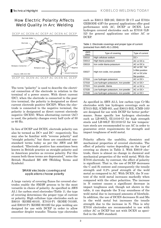# How Electric Polarity Affects Weld Quality in Arc Welding

DCEP AC DCEN AC DCEP AC DCEN AC DCEP



The term "polarity" is used to describe the electrical connection of the electrode in relation to the terminal of a power source. With direct current (DC), when the electrode is connected to the positive terminal, the polarity is designated as direct current electrode positive (DCEP). When the electrode is connected to the negative terminal, the polarity is designated as direct current electrode negative (DCEN). When alternating current (AC) is used, the polarity changes every half cycle of 50 or 60 Hz.

In lieu of DCEP and DCEN, electrode polarity can also be termed as DC+ and DC- respectively. You may also be familiar with "reverse polarity" and "straight polarity," but these are considered nonstandard terms today as per the AWS and BS standard. "Electrode positive has sometimes been known in British practice as straight polarity and in American practice as reverse polarity. For this reason both these terms are deprecated," notes the British Standard BS 499 (Welding Terms and Symbols).

### SMAW electrode coverings and applications choose polarity

A large variety of covering fluxes for covered electrodes enable the SMAW process to be the most versatile in choice of polarity. As specified in AWS A5.1 for carbon steel electrodes (Table 1), the type of covering determines the proper type of current or polarity. High cellulose type electrodes such as E6010 (KOBE-6010), E7010-P1 (KOBE-7010S), and E8010-P1 (KOBE-8010S) for pipe welding are designed for use with DCEP in order to allow smoother droplet transfer. Titania type electrodes

such as E6013 (RB-26), E6019 (B-17) and E7024 (ZERODE-43F) for general applications offer good performance with AC, DCEP or DCEN. Low hydrogen covered electrodes such as E7016 (LB-52) for general applications use either AC or DCEP.

| <b>AWS</b><br>class. | Type of covering                    | Type of current                                                         |
|----------------------|-------------------------------------|-------------------------------------------------------------------------|
| E6010                | High cellulose sodium               | $DC+$                                                                   |
| E6013                | High titania potassium              | AC or $DC_{\pm}$                                                        |
| E6019                | Iron oxide titania potassium        | AC or $DC +$                                                            |
| E6027                | High iron oxide, iron powder        | AC or DC-for<br>h-fillet position<br>$AC$ or $DC+$ for<br>flat position |
| E7016                | Low hydrogen potassium              | AC or DC+                                                               |
| E7018                | Low hydrogen potassium, iron powder | AC or DC+                                                               |
| E7024                | Iron powder, titania                | AC or $DC_{\pm}$                                                        |
| E7028                | Low hydrogen potassium, iron powder | $AC$ or $DC+$                                                           |

E7048  $\vert$  Low hydrogen potassium, iron powder  $\vert$  AC or DC+

Table 1: Electrode coverings and proper type of current (extracted from AWS A5.1-2004)

As specified in AWS A5.5, low carbon type Cr-Mo electrodes with low hydrogen coverings such as E7015-B2L (CMB-95), and E8015-B3L (CMB-105) are designed for use with DCEP for better performance. Some specific low hydrogen electrodes such as LB-80UL (E11016-G) for high strength steels and LB-88LT (E11016-G) for low temperature steels are recommended to use AC in order to guarantee strict requirements for strength and impact toughness of weld metal.

Polarity affects the usability, chemistry and mechanical properties of covered electrodes. The effect of polarity varies depending on the type of covering as shown in Table 2. With E6019 electrode, there is almost no change in chemical and mechanical properties of the weld metal. With the E7016 electrode, by contrast, the effect of polarity is significant. That is, the use of DCEP decreases the C and Si content and consequently the tensile strength and 0.2% proof strength of the weld metal as compared to AC. With DCEN, the N content of the weld metal increases markedly when compared with the other polarities. The increase in N content causes a significant decrease in impact toughness and, though not shown in the table, it can degrade the X-ray soundness of the weld metal due to increased amounts of blowhole. In addition, the use of DCEN decreases Si and Mn in the weld metal but increases the tensile strength due to the increase in N. This is why E7016 electrodes are recommended to use with either AC or DCEP but not with DCEN as specified in the AWS standard.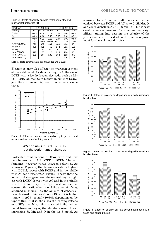| Electrode                 | B-17 (E6019) |             |             |       | LB-52 (E7016) |             |
|---------------------------|--------------|-------------|-------------|-------|---------------|-------------|
| Polarity                  | АC           | <b>DCEP</b> | <b>DCEN</b> | АC    | <b>DCEP</b>   | <b>DCEN</b> |
| C(%)                      | 0.08         | 0.08        | 0.08        | 0.08  | 0.07          | 0.08        |
| Si                        | 0.09         | 0.10        | 0.10        | 0.66  | 0.61          | 0.52        |
| Mn                        | 0.59         | 0.62        | 0.58        | 0.94  | 0.95          | 0.83        |
| N                         | 0.007        | 0.008       | 0.008       | 0.011 | 0.010         | 0.039       |
| 0.2%PS (MPa)              | 392          | 389         | 394         | 480   | 466           | 481         |
| TS (MPa)                  | 458          | 461         | 466         | 572   | 551           | 589         |
| EI(%)                     | 31           | 29          | 30          | 32    | 33            | 29          |
| IV at $0^{\circ}$ C (J)   | 117          | 106         | 112         | 215   | 226           | 151         |
| IV at $-20^{\circ}$ C (J) | 103          | 99          | 105         | 162   | 183           | 85          |
| IV at $-40^{\circ}$ C (J) |              |             |             | 90    | 116           | 39          |

Table 2: Effects of polarity on weld metal chemistry and mechanical properties (1)

Note (1) Testing methods are per JIS Z 3211 and Z 3212.

Electric polarity also affects the hydrogen content of the weld metal. As shown in Figure 1, the use of DCEP with a low hydrogen electrode, such as LB-62 (E9016-G), results in higher amounts of hydrogen than in using AC over the current range tested.



Figure 1: Effect of polarity on diffusible hydrogen in weld metal as a function of welding current

#### SAW can use AC, DCEP or DCEN but the performance changes

Particular combinations of SAW wire and flux may be used with AC, DCEP or DCEN. The performance, however, varies between polarities. As shown in Figure 2, the deposition rate is highest with DCEN, lowest with DCEP and in the middle with AC for fluxes tested. Figure 3 shows that the amount of slag generated during welding is highest with DCEN, lowest with AC and in the middle with DCEP for every flux. Figure 4 shows the flux consumption ratio (the ratio of the amount of slag obtained in Figure 3 to the amount of deposition rate obtained in Figure 2). With DCEP, it is higher than with AC by roughly 10-30% depending on the type of flux. That is, the mass of flux compositions (e.g.  $SiO<sub>2</sub>$  and MnO) that react with the molten metal becomes larger, thereby decreasing C, and increasing Si, Mn and O in the weld metal. As

shown in Table 3, marked differences can be recognized between DCEP and AC as to C, Si, Mn, O, and consequently 0.2%PS, TS and IV. This is why careful choice of wire and flux combination is significant taking into account the polarity of the power source to be used when the quality requirement for the weld metal is strict.



Figure 2: Effect of polarity on deposition rate with fused and bonded fluxes



Figure 3: Effect of polarity on amount of slag with fused and bonded fluxes



Figure 4: Effect of polarity on flux consumption ratio with fused and bonded fluxes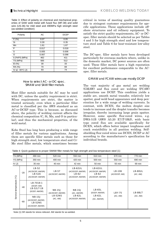Table 3: Effect of polarity on chemical and mechanical properties of SAW weld metal with fused flux (MF-38) and solid wire (US-36) for mild steel and 490MPa high strength steel (as-welded condition)

| Polarity                  | AC              | <b>DCEP</b>     |
|---------------------------|-----------------|-----------------|
| C(%)                      | 0.07            | 0.05            |
| - Si                      | 0.30            | 0.35            |
| Mn                        | 1.61            | 1.67            |
| $\mathsf{P}$              | 0.017           | 0.018           |
| ్వ                        | 0.005           | 0.006           |
| റ                         | 0.067           | 0.098           |
| 0.2%PS (MPa)              | 462             | 411             |
| TS (MPa)                  | 565             | 512             |
| EI (%)                    | 30              | 33              |
| RA (%)                    | $\overline{70}$ | 69              |
| IV at $-40^{\circ}$ C (J) | 93              | $\overline{74}$ |

#### How to select AC- or DC-spec. SMAW and SAW filler metals

Most filler metals suitable for AC may be used with DC, unless the quality requirement is strict. When requirements are strict, the matter is treated seriously, even when a particular filler metal is classified per the AWS standard as an AC-or-DCEP type. This is because, as discussed above, the polarity of welding current affects the chemical composition (C, Si, Mn, and O in particular), and thus the mechanical properties, of the weld metal.

Kobe Steel has long been producing a wide range of filler metals for various applications. Among them are specific filler metals such as those for high strength steel, low temperature steel and Cr-Mo steel filler metals, which sometimes become critical in terms of meeting quality guarantees due to stringent customer requirements for specific applications. These applications include offshore structures and oil refinery equipment. To satisfy the strict quality requirements, AC- or DCspec. filler metals should be selected as per Tables 4 and 5 for high strength steel and low temperature steel and Table 6 for heat-resistant low-alloy steel.

The DC-spec. filler metals have been developed particularly for overseas markets where, unlike in the domestic market, DC power sources are often used. These filler metals have a high reputation for excellent performance comparable to the ACspec. filler metals.

#### GMAW and FCAW wires use mostly DCEP

The vast majority of gas metal arc welding (GMAW) and flux cored arc welding (FCAW) applications use DCEP. This condition yields a stable arc, smooth metal transfer, relatively low spatter, good weld bead appearance and deep penetration for a wide range of welding currents. In contrast, with DCEN, the molten droplet size tends to increase and the droplet transfer becomes irregular, thereby increasing large grain spatter. However, some specific flux-cored wires, e.g. DWA-51B (AWS A5.20 E71T-5MJ), with basic type cored flux are available specifically for DCEN, which offers better impact toughness and crack resistibility in all position welding. Selfshielding flux-cored wires use DCEN, DCEP or AC according to the manufacturer's specification for individual brands.

| Table 4: Quick guidance to proper SMAW filler metals for high strength and low temperature steel (1) |  |  |  |
|------------------------------------------------------------------------------------------------------|--|--|--|
|------------------------------------------------------------------------------------------------------|--|--|--|

| TS (MPa)            |       | 490 min                                                                 | 520 min                           | 550 min                                                                | 610 min                                                                | 670 min                 | 770 min                    |
|---------------------|-------|-------------------------------------------------------------------------|-----------------------------------|------------------------------------------------------------------------|------------------------------------------------------------------------|-------------------------|----------------------------|
| YS (MPa)            |       | 350 min                                                                 | 400 min                           | 420 min                                                                | 500 min                                                                | 550 min                 | 690 min                    |
| $IV$ (J)            |       | 35 min                                                                  | 40 min                            | 42 min                                                                 | 50 min                                                                 | 55 min                  | 69 min                     |
| $\widetilde{C}$     | $-20$ | <b>LB-52</b><br>(AC/DCEP, AW/SR)<br><b>LB-52A</b><br>(AC/DCEP, AW/SR)   | <b>LB-57</b><br>(AC/DCEP, AW/SR)  | <b>LB-62UL</b><br>(AC/DCEP, AW/SR)<br><b>LB-62</b><br>(AC/DCEP, AW/SR) | <b>LB-62UL</b><br>(AC/DCEP, AW/SR)<br><b>LB-62</b><br>(AC/DCEP, AW/SR) | LB-106<br>(AC/DCEP, AW) | <b>LB-80UL</b><br>(AC, AW) |
| Service temperature | $-40$ | LB-7018-1<br>(DCEP, AW)<br>LB-52LT-18<br>(DCEP, AW/SR)                  | <b>NB-1SJ</b><br>(AC/DCEP, AW/SR) | <b>NB-1SJ</b><br>(AC, AW/SR)                                           | <b>LB-65L</b><br>(DCEP, AW/SR)                                         | <b>LBY-75</b>           | <b>LB-88LT</b>             |
|                     | $-60$ | <b>NB-1SJ</b><br>(AC/DCEP, AW/SR)<br><b>LB-52NS</b><br>(AC/DCEP, AW/SR) | <b>LB-52NS</b><br>(AC, AW)        | <b>LB-62L</b><br>(AC/DCEP, AW/SR)                                      | <b>LB-62L</b><br>(AC, AW/SR)                                           | (AC, AW)                | (AC, AW)                   |

Note (1) SR stands for stress relieved. AW stands for as-welded.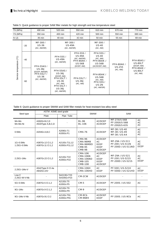| TS (MPa)                 |       | 490 min                                                                           | 520 min                                                                                                                                             | 550 min                                                                                             | 610 min                                                                                            | 670 min                            | 770 min                                          |
|--------------------------|-------|-----------------------------------------------------------------------------------|-----------------------------------------------------------------------------------------------------------------------------------------------------|-----------------------------------------------------------------------------------------------------|----------------------------------------------------------------------------------------------------|------------------------------------|--------------------------------------------------|
| YS (MPa)                 |       | 350 min                                                                           | 400 min                                                                                                                                             | 420 min                                                                                             | 500 min                                                                                            | 550 min                            | 690 min                                          |
| $IV$ (J)                 |       | 35 min                                                                            | 40 min                                                                                                                                              | 42 min                                                                                              | 50 min                                                                                             | 55 min                             | 69 min                                           |
|                          | $-20$ | MF-300/<br><b>US-36</b><br>(AC, AW/SR)                                            | MF-300/<br><b>US-49A</b>                                                                                                                            | (AC, AW/SR)                                                                                         | MF-300 /<br><b>US-40</b><br>(AC, AW)                                                               |                                    |                                                  |
|                          | $-40$ | <b>PFH-55AS/</b>                                                                  | <b>PFH-55S/</b><br><b>US-49A</b><br>(AC, AW/SR)                                                                                                     | <b>PFH-55S/</b><br><b>US-49A</b><br>(AC, AW/SR)<br><b>PFH-80AK /</b><br><b>US-56B</b><br>(DCEP, AW) | <b>PFH-55S/</b><br><b>US-40</b><br>(AC, AW)<br><b>PFH-80AK /</b><br><b>US-56B</b><br>(AC/DCEP, AW) | <b>PFH-80AK /</b><br><b>US-255</b> | <b>PFH-80AS/</b><br><b>US-80LT</b><br>(DCEP, AW) |
| Service temperature (°C) | -60   | <b>US-36J</b><br>(DCEP, AW/SR)<br><b>PFH-55LT/</b><br><b>US-36</b><br>(AC, AW/SR) | <b>PFH-55AS/</b><br><b>US-36J</b><br>(DCEP, AW)<br><b>PFH-55LT/</b><br><b>US-36</b><br>(AC, AW)<br><b>PFH-55LT/</b><br><b>US-36J</b><br>(AC, AW/SR) | <b>PFH-55LT/</b><br><b>US-36J</b><br>(AC, AW)                                                       | <b>PFH-80AK/</b><br><b>US-56B</b><br>(AC, AW)<br><b>PFH-55S/</b><br><b>US-2N</b><br>(AC, AW/SR)    | (AC, AW)                           | <b>PFH-80AK/</b><br><b>US-80LT</b><br>(AC, AW)   |

Table 5: Quick guidance to proper SAW filler metals for high strength and low temperature steel

Table 6: Quick guidance to proper SMAW and SAW filler metals for heat-resistant low-alloy steel

| Steel type                | ASTM ASME steel grade                |                                | <b>SMAW</b>                                                                               |                                                         | SAW                                                                 |                                       |
|---------------------------|--------------------------------------|--------------------------------|-------------------------------------------------------------------------------------------|---------------------------------------------------------|---------------------------------------------------------------------|---------------------------------------|
|                           | Plate                                | Pipe Tube                      |                                                                                           |                                                         |                                                                     |                                       |
| Mn-Mo<br>Mn-Mo-Ni         | A302Gr.B.C.D<br>A533Type A,B,C,D     |                                | <b>BL-96</b><br><b>BL-106</b>                                                             | AC/DCEP<br>AC/DCEP                                      | <b>MF-27/US-56B</b><br><b>PF-200/US-56B</b><br><b>PF-200/US-63S</b> | <b>AC</b><br><b>AC</b><br>AC          |
| 0.5M <sub>O</sub>         | A204Gr.A,B,C                         | A209Gr.T1<br>A335Gr.P1         | <b>CMA-76</b>                                                                             | AC/DCEP                                                 | MF-38 / US-40<br>MF-38 / US-49<br><b>MF-38 / US-A4</b>              | <b>AC</b><br><b>AC</b><br>AC          |
| 1Cr-0.5Mo<br>1.25Cr-0.5Mo | A387Gr.12 Cl.1,2<br>A387Gr.11 Cl.1.2 | A213Gr.T11,12<br>A335Gr.P11,12 | <b>CMA-96</b><br>CMA-96MB<br>CMA-96MBD<br><b>CMB-95</b><br><b>CMB-98</b>                  | AC/DCEP<br>AC.<br><b>DCEP</b><br><b>DCEP</b><br>AC/DCEP | MF-29A / US-511<br>PF-200 / US-511N<br><b>PF-200D / US-511ND</b>    | <b>AC</b><br><b>AC</b><br><b>DCEP</b> |
| 2.25Cr-1Mo                | A387Gr.22 Cl.1.2                     | A213Gr.T22<br>A335Gr.P22       | <b>CMA-106</b><br><b>CMA-106N</b><br><b>CMA-106ND</b><br><b>CMB-105</b><br><b>CMB-108</b> | AC/DCEP<br>AC<br><b>DCEP</b><br><b>DCEP</b><br>AC/DCEP  | MF-29A / US-521<br>PF-200 / US-521S<br><b>PF-200D / US-521S</b>     | <b>AC</b><br><b>AC</b><br><b>DCEP</b> |
| 2.25Cr-1Mo-V              | A542Type D Cl.4a<br>A832Gr.22V       |                                | <b>CMA-106H</b><br><b>CMA-106HD</b>                                                       | AC.<br><b>DCEP</b>                                      | PF-500 / US-521H<br><b>PF-500D / US-521HD</b>                       | <b>AC</b><br><b>DCEP</b>              |
| Low C<br>2.25Cr-W-V-Nb    |                                      | SA213Gr.T23<br>SA335Gr.P23     | CM-2CW                                                                                    | AC/DCEP                                                 |                                                                     |                                       |
| 5Cr-0.5Mo                 | A387Gr.5 Cl.1.2                      | A213Gr.T5<br>A335Gr.P5         | <b>CM-5</b>                                                                               | AC/DCEP                                                 | <b>PF-200S / US-502</b>                                             | <b>AC</b>                             |
| 9Cr-1Mo                   | A387Gr.9 Cl.1.2                      | A213Gr.T9<br>A335Gr.P9         | <b>CM-9</b>                                                                               | AC/DCEP                                                 |                                                                     |                                       |
| 9Cr-1Mo-V-Nb              | A387Gr.91 Cl.2                       | A213Gr.T91<br>A335Gr.P91       | CM-9Cb<br><b>CM-96B9</b>                                                                  | AC/DCEP<br><b>DCEP</b>                                  | <b>PF-200S / US-9Cb</b>                                             | <b>AC</b>                             |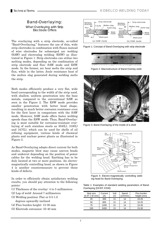# Band-Overlaying:

What Overlaying with Strip Electrode Offers

The overlaying with a strip electrode, so-called "Band-Overlaying," features the use of thin, wide strip electrodes in combination with fluxes instead of wire electrodes for submerged arc welding (SAW) and electroslag welding (ESW) as illustrated in Figure 1. Strip electrodes can utilize two melting modes, depending on the combination of strip electrode and flux: SAW mode and ESW mode. In the former, arc heat melts the strip and flux, while in the latter, Joule resistance heat of the molten slag generated during welding melts the strip.

Both modes efficiently produce a very flat, wide bead corresponding to the width of the strip used, with shallow, uniform penetration into the base metals, compared to the conventional SAW as seen in the Figure 2. The ESW mode provides smaller penetration with better bead shape, resulting in much better corrosion resistance even for the first layer in comparison with the SAW mode. However, SAW mode offers faster welding speeds than the ESW mode. Thus, Band-Overlaying is most suitable for corrosion-resistant overlaying of such stainless steels as  $304(L)$ ,  $316(L)$ and 347(L), which can be used for shells of oil refining equipment, various kinds of chemical plants and nuclear power plants as illustrated in Figure 3.

As Band-Overlaying adopts direct current for both modes, magnetic blow may cause uneven beads and undercut depending on the position of power cables for the welding head. Earthing has to be duly located at two or more positions. An electromagnetically controlling head, as shown in Figure 4 is another countermeasure to prevent these kinds of defects.

In order to efficiently obtain satisfactory welding results, you should pay attention to the following points:

- (1) Thickness of the overlay: 4 to 5 millimeters
- (2) Lap of weld: Around 7 millimeters
- (3) Welding position: Flat or 0.5-1.0 degrees upwardly inclined
- (4) Flux burden height: 15-30 mm
- (5) Electrode extension: 35-40 mm

## Technical TermsKOBELCO WELDING TODAY



Figure 1: Concept of Band-Overlaying with strip electrode



Figure 2: Macrostructure of Band-Overlay weld



Figure 3: Band-Overlaying of the inside of a shell



Figure 4: Electro-magnetically controlling welding head for Band-Overlaying

Table 1: Examples of standard welding parameters of Band-Overlaying (DCEP, ESW)

| Strip size<br>$(0.4T \times W \text{ mm})$ | Current<br>'A) | Volt<br>(V) | Speed<br>(cm/min) | Flux burden<br>height (mm) |
|--------------------------------------------|----------------|-------------|-------------------|----------------------------|
| 25                                         | 400            | 25          | 14                | $15 - 25$                  |
| 50                                         | 800            | 25          | 14                | $15 - 25$                  |
| 75                                         | 1200           | 25          | 14                | 15-30                      |
| 150                                        | 2400           | 25          | 14                | 15-30                      |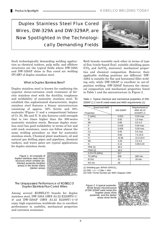# Duplex Stainless Steel Flux Cored Wires, DW-329A and DW-329AP, are Now Spotlighted in the Technologically Demanding Fields



Such technologically demanding welding application as chemical tankers, pulp mills, and offshore structures are the typical fields where DW-329A and DW-329AP shine in flux cored arc welding (FCAW) of duplex stainless steel.

#### What is Duplex Stainless Steel?

Duplex stainless steel is known for combining the superior stress-corrosion crack resistance of ferritic stainless steel with the ductility, toughness and weldability of austenitic stainless steel. To establish this sophisticated characteristic, duplex stainless steel features a binary microstructure consisting of approx. 50% ferrite and 50% austenite (Figure 1) and a compositional balance of Cr, Ni, Mo and N. It also features yield strength that is two times higher than the 300-series austenitic stainless steels. Because duplex stainless steel has good weldability in terms of hot and cold crack resistance, users can follow almost the same welding procedure as that for austenitic stainless steels. Chemical plant machinery, oil and natural gas drilling pipes and pipelines, chemical tankers, and water gates are typical applications for duplex stainless steels.

Figure 1: An example of duplex stainless steel microstructure which exhibits distributed austenite (brighter areas) in the ferrite matrix (darker areas)



#### The Unsurpassed Performance of KOBELCO Duplex Stainless Flux-Cored Wires

Among several KOBELCO brands for duplex stainless steel, DW-329A (AWS A5.22 E2209T0-1/- 4) and DW-329AP (AWS A5.22 E2209T1-1/-4) enjoy high reputations worldwide due to excellent performance in usability, mechanical properties and corrosion resistance.

Both brands resemble each other in terms of type of flux (rutile-based flux), suitable shielding gases  $(CO<sub>2</sub>$  and  $Ar/CO<sub>2</sub>$  mixtures), mechanical properties and chemical composition. However, their applicable welding positions are different: DW-329A is suitable for flat and horizontal fillet welding only, while DW-329AP is excellent in out-ofposition welding. DW-329AP features the chemical composition and mechanical properties listed in Table 1 and the microstructure in Figure 2.

Table 1: Typical chemical and mechanical properties of DW-329AP (1.2 mm $\Phi$ ) weld metal and AWS requirements (1)

| Brand and AWS<br>Properties | <b>DW-329AP</b> | Requirements of<br><b>AWS A5.22</b><br>E2209T1-4 |
|-----------------------------|-----------------|--------------------------------------------------|
| $C(wt\%)$                   | 0.024           | $0.04$ max                                       |
| Si                          | 0.55            | 1.0 <sub>max</sub>                               |
| Mn                          | 0.89            | $0.5 - 2.0$                                      |
| P                           | 0.018           | $0.04$ max                                       |
| S                           | 0.005           | $0.03$ max                                       |
| Cu                          | 0.06            | $0.5$ max                                        |
| Ni                          | 9.68            | $7.5 - 10.0$                                     |
| Cr                          | 22.96           | 21.0-24.0                                        |
| Mo                          | 3.28            | $2.5 - 4.0$                                      |
| N                           | 0.14            | $0.08 - 0.20$                                    |
| <b>PRE (2)</b>              | 36.0            |                                                  |
| <b>FNW (3)</b>              | 40.5            |                                                  |
| 0.2% PS (MPa)               | 617             |                                                  |
| TS (MPa)                    | 808             | 690 min                                          |
| EI(%)                       | 31              | 20 min                                           |
| RA (%)                      | 48              |                                                  |

(1) Shielding gas:  $80\%$ Ar-20%CO<sub>2</sub>

(2) PRE = Cr + 3.3Mo + 16N

(3) FNW: Ferrite Number per WRC Diagram-1992

Figure 2: A typical austeniteferrite binary microstructure of DW-329AP weld metal (the brighter areas show austenite, and the darker areas show ferrite

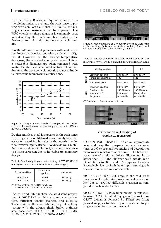PRE or Pitting Resistance Equivalent is used as the pitting index to evaluate the resistance to pitting corrosion. With a higher PRE value, the pitting corrosion resistance can be improved. The WRC chemistry-phase diagram is commonly used for estimating the ferrite number related to the ferrite content of duplex stainless steel weld metals.

DW-329AP weld metal possesses sufficient notch toughness or absorbed energies as shown in Figure 3. However, as the testing temperature decreases, the absorbed energy decreases. This is a noticeable disadvantage when compared with austenitic stainless steel weld metals. Therefore, duplex stainless steel weld metals are not suitable for cryogenic temperature applications.



Figure 3: Charpy impact absorbed energies of DW-329AP  $(1.2 \, \text{mm} \Phi)$  weld metal at low temperatures with 80%Ar- $20\%$ CO<sub>2</sub> shielding

Duplex stainless steel is superior in the resistance to pitting corrosion (defined as extremely localized corrosion, resulting in holes in the metal) in chloride-involved applications. DW-329AP weld metal features, as shown in Table 2, excellent resistance to pitting corrosion due to its elaborate chemistry design.

Table 2: Results of pitting corrosion testing of DW-329AP (1.2 mm $\Phi$ ) weld metal with 80%Ar-20%CO<sub>2</sub> shielding (1)

| Testing condition     | Corrosion loss<br>$(g/m2-hr)$ | Judgement  |
|-----------------------|-------------------------------|------------|
| $20^{\circ}$ C x 24hr | 0.005                         | No pitting |
| $25^{\circ}$ C x 24hr | 0.032                         | No pitting |

(1) Testing method: ASTM G48 Practice A Specimen size: 10T x 15W x 35L (mm)

Figure 4 and Table 3 show the weld joint properties of DW-329AP exhibiting sound macrostructure, sufficient tensile strength and ductility. These test results were obtained in joint welding testing with the 20-mm thick duplex stainless steel base metal of UNS S31803 (0.025C, 0.47Si, 1.43Mn, 5.51Ni, 21.98Cr, 2.96Mo, 0.16N)



Figure 4: Macrostructure of DW-329AP one-sided weld joints in flat welding (left) and vertical-up welding (right) with ceramic backing and  $80\%$ Ar-20%CO<sub>2</sub> shielding

Table 3: Results of tension and side bend testing of DW-329AP (1.2 mm $\Phi$ ) weld Joints with 80%Ar-20%CO<sub>2</sub> shielding

| Welding position       | 1G           | 3G                 |
|------------------------|--------------|--------------------|
| Specimen size (mm)     | 20T x 25W    | 20T x 25W          |
| Tensile strength (MPa) | 735          | 723                |
| Fracture location      | Base metal   | Base metal         |
| Specimen size (mm)     | 9.5T x 20W   | 9.5T x 20W         |
| Bending radius         | 19R-180 deg. | 19R-180 deg.       |
| Appearance (1)         | Left below   | <b>Right below</b> |
| Judgement              | Acceptable   | Acceptable         |
|                        |              |                    |

(1) Appearance of specimens after testing



Tips for successful welding of duplex stainless steel

(1) CONTROL HEAT INPUT at an appropriate level and keep the interpass temperature lower than 150°C to prevent hot cracks and degradation in corrosion resistance of the weld. The hot crack resistance of duplex stainless filler metal is far better than 310- and 625-type weld metals but a little inferior to 308L- and 316L-type weld metals. Excessively low or high heat input can degrade the corrosion resistance of the weld.

(2) USE NO PREHEAT because the cold crack resistance of duplex stainless steel welds is excellent due to very low diffusible hydrogen as compared to carbon steel welds.

(3) USE HIGHER PRE filler metals or nitrogenbearing (1-2%) Ar shielding gases for root pass GTAW (which is followed by FCAW for filling passes) in pipes to obtain good resistance to pitting corrosion for the root pass weld.